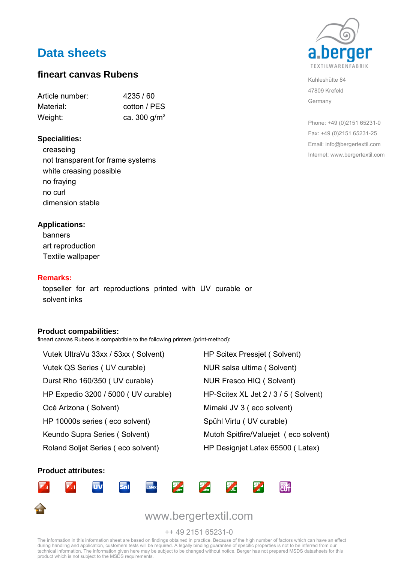# **Data sheets**

### **fineart canvas Rubens**

| Article number: | 4235/60         |
|-----------------|-----------------|
| Material:       | cotton / PES    |
| Weight:         | ca. 300 $q/m^2$ |

#### **Specialities:**

creaseing not transparent for frame systems white creasing possible no fraying no curl dimension stable

#### **Applications:**

banners art reproduction Textile wallpaper

#### **Remarks:**

topseller for art reproductions printed with UV curable or solvent inks

#### **Product compabilities:**

fineart canvas Rubens is compabtible to the following printers (print-method):

Vutek UltraVu 33xx / 53xx ( Solvent) HP Scitex Pressjet ( Solvent) Vutek QS Series ( UV curable) NUR salsa ultima ( Solvent) Durst Rho 160/350 ( UV curable) NUR Fresco HIQ ( Solvent) HP Expedio 3200 / 5000 ( UV curable) HP-Scitex XL Jet 2 / 3 / 5 ( Solvent) Océ Arizona ( Solvent) Mimaki JV 3 ( eco solvent) HP 10000s series ( eco solvent) Spühl Virtu ( UV curable) Keundo Supra Series ( Solvent) Mutoh Spitfire/Valuejet ( eco solvent)

Roland Soljet Series ( eco solvent) HP Designiet Latex 65500 ( Latex)

#### **Product attributes:**





Kuhleshütte 84 47809 Krefeld Germany

Phone: +49 (0)2151 65231-0 Fax: +49 (0)2151 65231-25 Email: info@bergertextil.com Internet: www.bergertextil.com

The information in this information sheet are based on findings obtained in practice. Because of the high number of factors which can have an effect<br>during handling and application, customers tests will be required. A lega technical information. The information given here may be subject to be changed without notice. Berger has not prepared MSDS datasheets for this product which is not subject to the MSDS requirements.